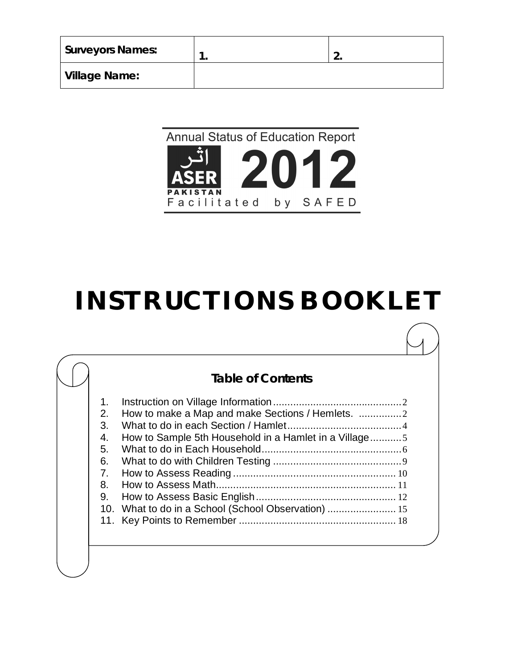| <b>Surveyors Names:</b> | . . |
|-------------------------|-----|
| <b>Village Name:</b>    |     |

#### **Annual Status of Education Report** 11 اثُ  $\mathbf{2}$ PA **TAN** Facilitated by SAFED

# **INSTRUCTIONS BOOKLET**

## **Table of Contents**

| 1.             |                                                       |  |
|----------------|-------------------------------------------------------|--|
| 2.             |                                                       |  |
| 3.             |                                                       |  |
| 4.             | How to Sample 5th Household in a Hamlet in a Village5 |  |
| 5.             |                                                       |  |
| 6.             |                                                       |  |
| 7 <sub>1</sub> |                                                       |  |
| 8.             |                                                       |  |
| 9.             |                                                       |  |
|                | 10. What to do in a School (School Observation)       |  |
|                |                                                       |  |
|                |                                                       |  |
|                |                                                       |  |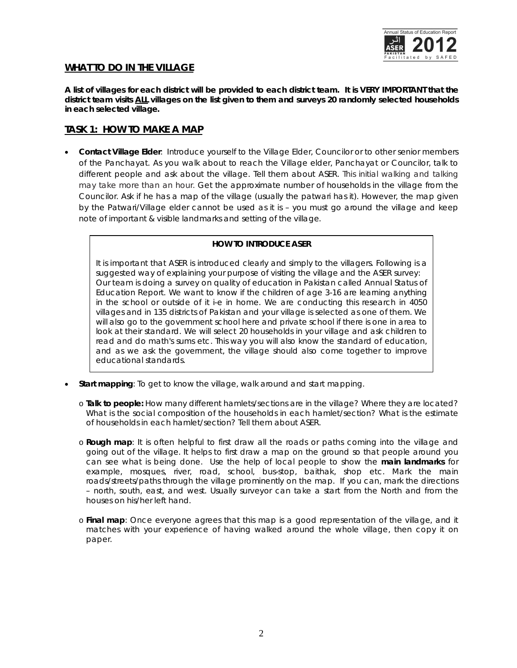

## *WHAT TO DO IN THE VILLAGE*

*A list of villages for each district will be provided to each district team. It is VERY IMPORTANT that the district team visits ALL villages on the list given to them and surveys 20 randomly selected households in each selected village.*

## *TASK 1: HOW TO MAKE A MAP*

 **Contact Village Elder**: Introduce yourself to the Village Elder, Councilor or to other senior members of the Panchayat. As you walk about to reach the Village elder, Panchayat or Councilor, talk to different people and ask about the village. Tell them about ASER. This initial walking and talking may take more than an hour. Get the approximate number of households in the village from the Councilor. Ask if he has a map of the village (usually the patwari has it). However, the map given by the Patwari/Village elder cannot be used as it is – you must go around the village and keep note of important & visible landmarks and setting of the village.

#### **HOW TO INTRODUCE ASER**

It is important that ASER is introduced clearly and simply to the villagers. Following is a suggested way of explaining your purpose of visiting the village and the ASER survey: Our team is doing a survey on quality of education in Pakistan called Annual Status of Education Report. We want to know if the children of age 3-16 are learning anything in the school or outside of it i-e in home. We are conducting this research in 4050 villages and in 135 districts of Pakistan and your village is selected as one of them. We will also go to the government school here and private school if there is one in area to look at their standard. We will select 20 households in your village and ask children to read and do math's sums etc. This way you will also know the standard of education, and as we ask the government, the village should also come together to improve educational standards.

- **Start mapping**: To get to know the village, walk around and start mapping.
	- o **Talk to people:** How many different hamlets/sections are in the village? Where they are located? What is the social composition of the households in each hamlet/section? What is the estimate of households in each hamlet/section? Tell them about ASER.
	- o **Rough map**: It is often helpful to first draw all the roads or paths coming into the village and going out of the village. It helps to first draw a map on the ground so that people around you can see what is being done. Use the help of local people to show the **main landmarks** for example, mosques, river, road, school, bus-stop, baithak, shop etc. Mark the main roads/streets/paths through the village prominently on the map. If you can, mark the directions – north, south, east, and west. Usually surveyor can take a start from the North and from the houses on his/her left hand.
	- o **Final map**: Once everyone agrees that this map is a good representation of the village, and it matches with your experience of having walked around the whole village, then copy it on paper.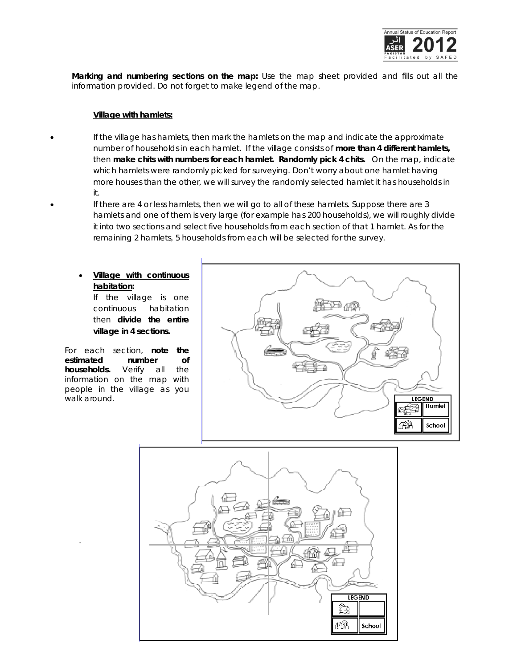

**Marking and numbering sections on the map:** Use the map sheet provided and fills out all the information provided. Do not forget to make legend of the map.

#### **Village with hamlets:**

- If the village has hamlets, then mark the hamlets on the map and indicate the approximate number of households in each hamlet. If the village consists of **more than 4 different hamlets,**  then **make chits with numbers for each hamlet. Randomly pick 4 chits.** On the map, indicate which hamlets were randomly picked for surveying. Don't worry about one hamlet having more houses than the other, we will survey the randomly selected hamlet it has households in it.
	- If there are 4 or less hamlets, then we will go to all of these hamlets. Suppose there are 3 hamlets and one of them is very large (for example has 200 households), we will roughly divide it into two sections and select five households from each section of that 1 hamlet. As for the remaining 2 hamlets, 5 households from each will be selected for the survey.

## **Village with continuous habitation:**

If the village is one continuous habitation then **divide the entire village in 4 sections.**

For each section, **note the estimated number of households.** Verify all the information on the map with people in the village as you walk around.

.



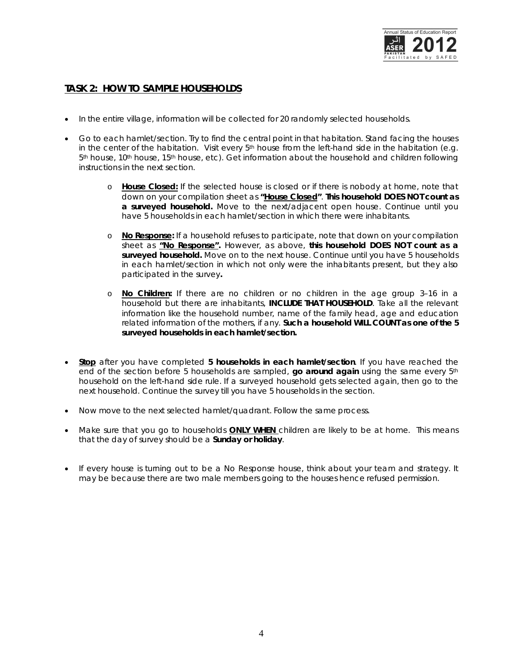

## *TASK 2: HOW TO SAMPLE HOUSEHOLDS*

- $\bullet$  In the entire village, information will be collected for 20 randomly selected households.
- Go to each hamlet/section. Try to find the central point in that habitation. Stand facing the houses in the center of the habitation. Visit every  $5<sup>th</sup>$  house from the left-hand side in the habitation (e.g. 5th house, 10th house, 15th house, etc). Get information about the household and children following instructions in the next section.
	- o **House Closed:** If the selected house is closed or if there is nobody at home, note that down on your compilation sheet as **"House Closed"**. **This household DOES NOT count as a surveyed household.** Move to the next/adjacent open house. Continue until you have 5 households in each hamlet/section in which there were inhabitants.
	- o **No Response:** If a household refuses to participate, note that down on your compilation sheet as **"No Response".** However, as above, **this household DOES NOT count as a surveyed household.** Move on to the next house. Continue until you have 5 households in each hamlet/section in which not only were the inhabitants present, but they also participated in the survey**.**
	- o **No Children:** If there are no children or no children in the age group 3–16 in a household but there are inhabitants, **INCLUDE THAT HOUSEHOLD**. Take all the relevant information like the household number, name of the family head, age and education related information of the mothers, if any. **Such a household WILL COUNT as one of the 5 surveyed households in each hamlet/section.**
- **Stop** after you have completed **5 households in each hamlet/section**. If you have reached the end of the section before 5 households are sampled, **go around again** using the same every 5th household on the left-hand side rule. If a surveyed household gets selected again, then go to the next household. Continue the survey till you have 5 households in the section.
- Now move to the next selected hamlet/quadrant. Follow the same process.
- Make sure that you go to households **ONLY WHEN** children are likely to be at home. This means that the day of survey should be a **Sunday or holiday**.
- If every house is turning out to be a No Response house, think about your team and strategy. It may be because there are two male members going to the houses hence refused permission.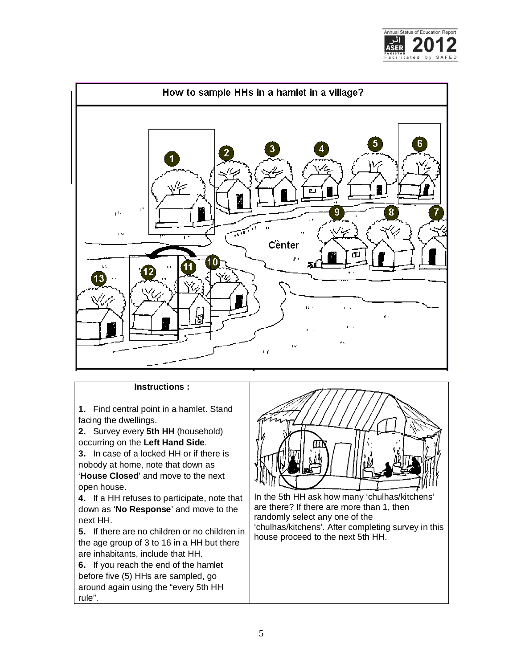



## **Instructions :**

**1.** Find central point in a hamlet. Stand facing the dwellings.

**2.** Survey every **5th HH** (household) occurring on the **Left Hand Side**.

**3.** In case of a locked HH or if there is nobody at home, note that down as '**House Closed**' and move to the next open house.

**4.** If a HH refuses to participate, note that down as '**No Response**' and move to the next HH.

**5.** If there are no children or no children in the age group of 3 to 16 in a HH but there are inhabitants, include that HH.

**6.** If you reach the end of the hamlet before five (5) HHs are sampled, go around again using the "every 5th HH rule".



In the 5th HH ask how many 'chulhas/kitchens' are there? If there are more than 1, then randomly select any one of the 'chulhas/kitchens'. After completing survey in this house proceed to the next 5th HH.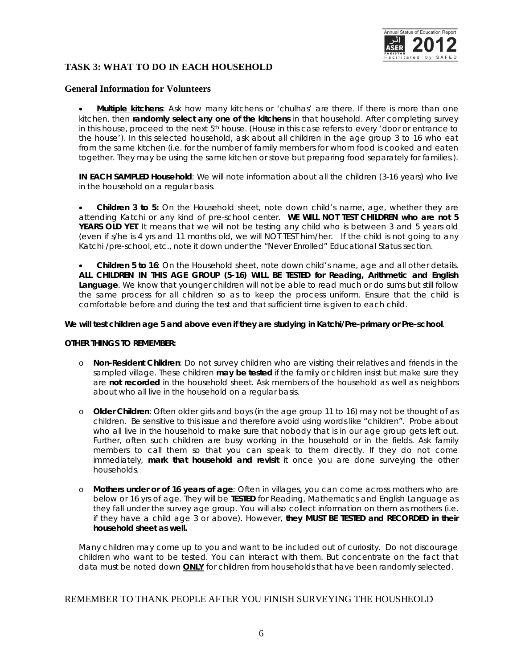

## **TASK 3: WHAT TO DO IN EACH HOUSEHOLD**

#### **General Information for Volunteers**

 **Multiple kitchens**: Ask how many kitchens or 'chulhas' are there. If there is more than one kitchen, then **randomly select any one of the kitchens** in that household. After completing survey in this house, proceed to the next  $5<sup>th</sup>$  house. (House in this case refers to every 'door or entrance to the house'). In this selected household, ask about all children in the age group 3 to 16 who eat from the same kitchen (i.e. for the number of family members for whom food is cooked and eaten together. They may be using the same kitchen or stove but preparing food separately for families.).

**IN EACH SAMPLED Household**: We will note information about all the children (3-16 years) who live in the household on a regular basis.

 **Children 3 to 5:** On the Household sheet, note down child's name, age, whether they are attending Katchi or any kind of pre-school center. **WE WILL NOT TEST CHILDREN who are not 5 YEARS OLD YET**. It means that we will not be testing any child who is between 3 and 5 years old (even if s/he is 4 yrs and 11 months old, we will NOT TEST him/her. If the child is not going to any Katchi /pre-school, etc., note it down under the "Never Enrolled" Educational Status section.

 **Children 5 to 16**: On the Household sheet, note down child's name, age and all other details. **ALL CHILDREN IN THIS AGE GROUP (5-16) WILL BE TESTED for Reading, Arithmetic and English Language**. We know that younger children will not be able to read much or do sums but still follow the same process for all children so as to keep the process uniform. Ensure that the child is comfortable before and during the test and that sufficient time is given to each child.

#### *We will test children age 5 and above even if they are studying in Katchi/Pre-primary or Pre-school.*

#### **OTHER THINGS TO REMEMBER:**

- o **Non-Resident Children**: Do not survey children who are visiting their relatives and friends in the sampled village. These children **may be tested** if the family or children insist but make sure they are **not recorded** in the household sheet. Ask members of the household as well as neighbors about who all live in the household on a regular basis.
- o **Older Children**: Often older girls and boys (in the age group 11 to 16) may not be thought of as children. Be sensitive to this issue and therefore avoid using words like "children". Probe about who all live in the household to make sure that nobody that is in our age group gets left out. Further, often such children are busy working in the household or in the fields. Ask family members to call them so that you can speak to them directly. If they do not come immediately, **mark that household and revisit** it once you are done surveying the other households.
- o **Mothers under or of 16 years of age**: Often in villages, you can come across mothers who are below or 16 yrs of age. They will be **TESTED** for Reading, Mathematics and English Language as they fall under the survey age group. You will also collect information on them as mothers (i.e. if they have a child age 3 or above). However, **they MUST BE TESTED and RECORDED in their household sheet as well.**

Many children may come up to you and want to be included out of curiosity. Do not discourage children who want to be tested. You can interact with them. But concentrate on the fact that data must be noted down **ONLY** for children from households that have been randomly selected.

#### REMEMBER TO THANK PEOPLE AFTER YOU FINISH SURVEYING THE HOUSHEOLD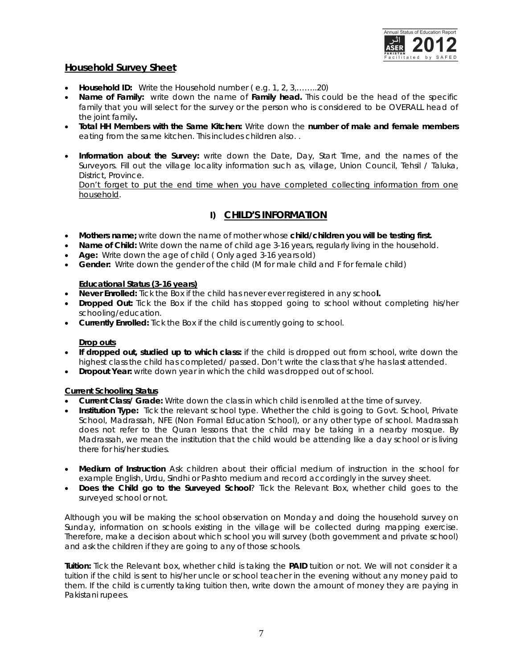

## *Household Survey Sheet*

- **Household ID:** Write the Household number ( e.g. 1, 2, 3,……..20)
- **Name of Family:** write down the name of **Family head.** This could be the head of the specific family that you will select for the survey or the person who is considered to be OVERALL head of the joint family**.**
- **Total HH Members with the Same Kitchen:** Write down the **number of male and female members**  eating from the same kitchen. This includes children also. .
- **Information about the Survey:** write down the Date, Day, Start Time, and the names of the Surveyors. Fill out the village locality information such as, village, Union Council, Tehsil / Taluka, District, Province. Don't forget to put the end time when you have completed collecting information from one household.

## **I) CHILD'S INFORMATION**

- **Mothers name;** write down the name of mother whose **child/children you will be testing first.**
- **Name of Child:** Write down the name of child age 3-16 years, regularly living in the household.
- **Age:** Write down the age of child ( Only aged 3-16 years old)
- **Gender:** Write down the gender of the child (M for male child and F for female child)

#### **Educational Status (3-16 years)**

- **Never Enrolled:** Tick the Box if the child has never ever registered in any schoo**l.**
- **Dropped Out:** Tick the Box if the child has stopped going to school without completing his/her schooling/education.
- **Currently Enrolled:** Tick the Box if the child is currently going to school.

#### **Drop outs**

- **If dropped out, studied up to which class:** if the child is dropped out from school, write down the highest class the child has completed/ passed. Don't write the class that s/he has last attended.
- **Dropout Year:** write down year in which the child was dropped out of school.

#### **Current Schooling Status**

- **Current Class/ Grade:** Write down the class in which child is enrolled at the time of survey.
- **Institution Type:** Tick the relevant school type. Whether the child is going to Govt. School, Private School, Madrassah, NFE (Non Formal Education School), or any other type of school. Madrassah does not refer to the Quran lessons that the child may be taking in a nearby mosque. By Madrassah, we mean the institution that the child would be attending like a day school or is living there for his/her studies.
- **Medium of Instruction** Ask children about their official medium of instruction in the school for example English, Urdu, Sindhi or Pashto medium and record accordingly in the survey sheet.
- **Does the Child go to the Surveyed School**? Tick the Relevant Box, whether child goes to the surveyed school or not.

Although you will be making the school observation on Monday and doing the household survey on Sunday, information on schools existing in the village will be collected during mapping exercise. Therefore, make a decision about which school you will survey (both government and private school) and ask the children if they are going to any of those schools.

**Tuition:** Tick the Relevant box, whether child is taking the **PAID** tuition or not. We will not consider it a tuition if the child is sent to his/her uncle or school teacher in the evening without any money paid to them. If the child is currently taking tuition then, write down the amount of money they are paying in Pakistani rupees.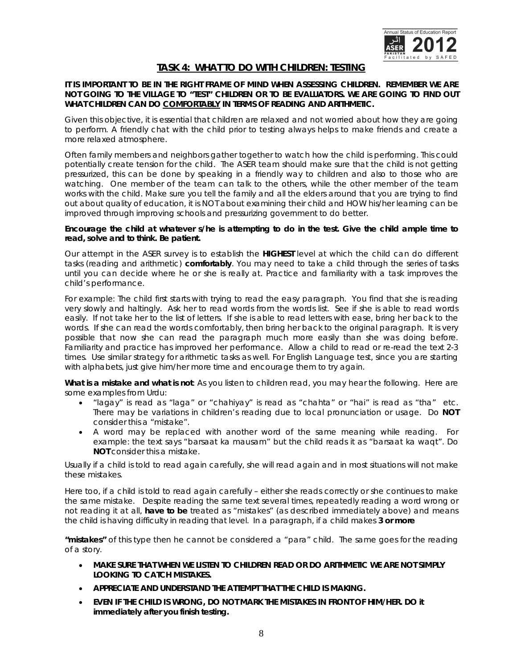

## *TASK 4: WHAT TO DO WITH CHILDREN: TESTING*

#### **IT IS IMPORTANT TO BE IN THE RIGHT FRAME OF MIND WHEN ASSESSING CHILDREN. REMEMBER WE ARE NOT GOING TO THE VILLAGE TO "TEST" CHILDREN OR TO BE EVALUATORS. WE ARE GOING TO FIND OUT WHAT CHILDREN CAN DO COMFORTABLY IN TERMS OF READING AND ARITHMETIC.**

Given this objective, it is essential that children are relaxed and not worried about how they are going to perform. A friendly chat with the child prior to testing always helps to make friends and create a more relaxed atmosphere.

Often family members and neighbors gather together to watch how the child is performing. This could potentially create tension for the child. The ASER team should make sure that the child is not getting pressurized, this can be done by speaking in a friendly way to children and also to those who are watching. One member of the team can talk to the others, while the other member of the team works with the child. Make sure you tell the family and all the elders around that you are trying to find out about quality of education, it is NOT about examining their child and HOW his/her learning can be improved through improving schools and pressurizing government to do better.

#### **Encourage the child at whatever s/he is attempting to do in the test. Give the child ample time to read, solve and to think. Be patient.**

Our attempt in the ASER survey is to establish the **HIGHEST** level at which the child can do different tasks (reading and arithmetic) **comfortably**. You may need to take a child through the series of tasks until you can decide where he or she is really at. Practice and familiarity with a task improves the child's performance.

For example: The child first starts with trying to read the easy paragraph. You find that she is reading very slowly and haltingly. Ask her to read words from the words list. See if she is able to read words easily. If not take her to the list of letters. If she is able to read letters with ease, bring her back to the words. If she can read the words comfortably, then bring her back to the original paragraph. It is very possible that now she can read the paragraph much more easily than she was doing before. Familiarity and practice has improved her performance. Allow a child to read or re-read the text 2-3 times. Use similar strategy for arithmetic tasks as well. For English Language test, since you are starting with alphabets, just give him/her more time and encourage them to try again.

**What is a mistake and what is not**: As you listen to children read, you may hear the following. Here are some examples from Urdu:

- "lagay" is read as "laga" or "chahiyay" is read as "chahta" or "hai" is read as "tha" etc. There may be variations in children's reading due to local pronunciation or usage. Do **NOT** consider this a "mistake".
- A word may be replaced with another word of the same meaning while reading. For example: the text says "barsaat ka mausam" but the child reads it as "barsaat ka waqt". Do **NOT** consider this a mistake.

Usually if a child is told to read again carefully, she will read again and in most situations will not make these mistakes.

Here too, if a child is told to read again carefully – either she reads correctly or she continues to make the same mistake. Despite reading the same text several times, repeatedly reading a word wrong or not reading it at all, **have to be** treated as "mistakes" (as described immediately above) and means the child is having difficulty in reading that level. In a paragraph, if a child makes **3 or more** 

**"mistakes"** of this type then he cannot be considered a "para" child. The same goes for the reading of a story.

- **MAKE SURE THAT WHEN WE LISTEN TO CHILDREN READ OR DO ARITHMETIC WE ARE NOT SIMPLY LOOKING TO CATCH MISTAKES.**
- **APPRECIATE AND UNDERSTAND THE ATTEMPT THAT THE CHILD IS MAKING.**
- **EVEN IF THE CHILD IS WRONG, DO NOT MARK THE MISTAKES IN FRONT OF HIM/HER. DO it immediately after you finish testing.**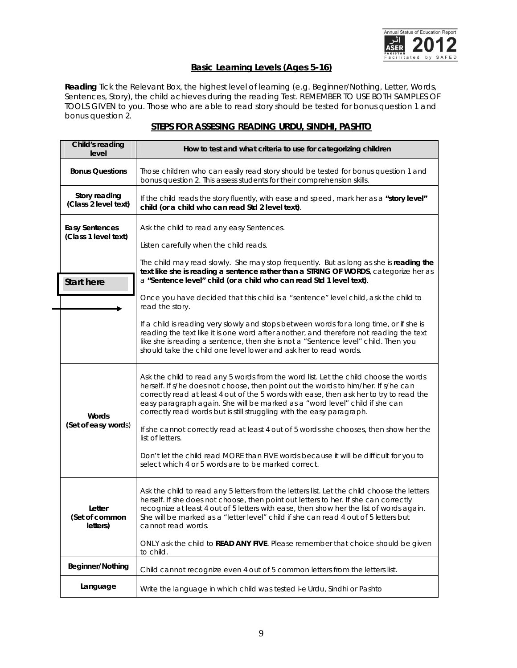

## **Basic Learning Levels (Ages 5-16)**

**Reading** Tick the Relevant Box, the highest level of learning (e.g. Beginner/Nothing, Letter, Words, Sentences, Story), the child achieves during the reading Test. REMEMBER TO USE BOTH SAMPLES OF TOOLS GIVEN to you. Those who are able to read story should be tested for bonus question 1 and bonus question 2.

| Child's reading<br>level                      | How to test and what criteria to use for categorizing children                                                                                                                                                                                                                                                                                                                                                                |
|-----------------------------------------------|-------------------------------------------------------------------------------------------------------------------------------------------------------------------------------------------------------------------------------------------------------------------------------------------------------------------------------------------------------------------------------------------------------------------------------|
| <b>Bonus Questions</b>                        | Those children who can easily read story should be tested for bonus question 1 and<br>bonus question 2. This assess students for their comprehension skills.                                                                                                                                                                                                                                                                  |
| <b>Story reading</b><br>(Class 2 level text)  | If the child reads the story fluently, with ease and speed, mark her as a "story level"<br>child (or a child who can read Std 2 level text).                                                                                                                                                                                                                                                                                  |
| <b>Easy Sentences</b><br>(Class 1 level text) | Ask the child to read any easy Sentences.<br>Listen carefully when the child reads.                                                                                                                                                                                                                                                                                                                                           |
| <b>Start here</b>                             | The child may read slowly. She may stop frequently. But as long as she is reading the<br>text like she is reading a sentence rather than a STRING OF WORDS, categorize her as<br>a "Sentence level" child (or a child who can read Std 1 level text).                                                                                                                                                                         |
|                                               | Once you have decided that this child is a "sentence" level child, ask the child to<br>read the story.                                                                                                                                                                                                                                                                                                                        |
|                                               | If a child is reading very slowly and stops between words for a long time, or if she is<br>reading the text like it is one word after another, and therefore not reading the text<br>like she is reading a sentence, then she is not a "Sentence level" child. Then you<br>should take the child one level lower and ask her to read words.                                                                                   |
| Words                                         | Ask the child to read any 5 words from the word list. Let the child choose the words<br>herself. If s/he does not choose, then point out the words to him/her. If s/he can<br>correctly read at least 4 out of the 5 words with ease, then ask her to try to read the<br>easy paragraph again. She will be marked as a "word level" child if she can<br>correctly read words but is still struggling with the easy paragraph. |
| (Set of easy words)                           | If she cannot correctly read at least 4 out of 5 words she chooses, then show her the<br>list of letters.                                                                                                                                                                                                                                                                                                                     |
|                                               | Don't let the child read MORE than FIVE words because it will be difficult for you to<br>select which 4 or 5 words are to be marked correct.                                                                                                                                                                                                                                                                                  |
| Letter<br>(Set of common<br>letters)          | Ask the child to read any 5 letters from the letters list. Let the child choose the letters<br>herself. If she does not choose, then point out letters to her. If she can correctly<br>recognize at least 4 out of 5 letters with ease, then show her the list of words again.<br>She will be marked as a "letter level" child if she can read 4 out of 5 letters but<br>cannot read words.                                   |
|                                               | ONLY ask the child to <b>READ ANY FIVE</b> . Please remember that choice should be given<br>to child.                                                                                                                                                                                                                                                                                                                         |
| <b>Beginner/Nothing</b>                       | Child cannot recognize even 4 out of 5 common letters from the letters list.                                                                                                                                                                                                                                                                                                                                                  |
| Language                                      | Write the language in which child was tested i-e Urdu, Sindhi or Pashto                                                                                                                                                                                                                                                                                                                                                       |

## **STEPS FOR ASSESING READING URDU, SINDHI, PASHTO**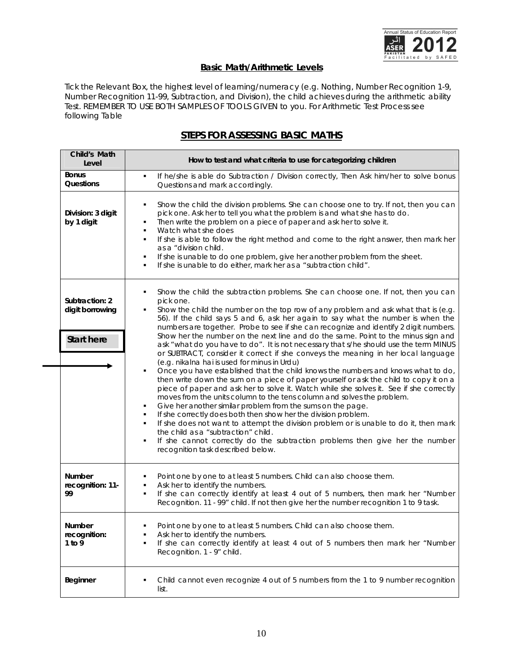

## **Basic Math/Arithmetic Levels**

Tick the Relevant Box, the highest level of learning/numeracy (e.g. Nothing, Number Recognition 1-9, Number Recognition 11-99, Subtraction, and Division), the child achieves during the arithmetic ability Test. REMEMBER TO USE BOTH SAMPLES OF TOOLS GIVEN to you. For Arithmetic Test Process see following Table

## *STEPS FOR ASSESSING BASIC MATHS*

| Child's Math<br>Level                                  | How to test and what criteria to use for categorizing children                                                                                                                                                                                                                                                                                                                                                                                                                                                                                                                                                                                                                                                                                                                                                                                                                                                                                                                                                                                                                                                                                                                                                                                                                            |  |
|--------------------------------------------------------|-------------------------------------------------------------------------------------------------------------------------------------------------------------------------------------------------------------------------------------------------------------------------------------------------------------------------------------------------------------------------------------------------------------------------------------------------------------------------------------------------------------------------------------------------------------------------------------------------------------------------------------------------------------------------------------------------------------------------------------------------------------------------------------------------------------------------------------------------------------------------------------------------------------------------------------------------------------------------------------------------------------------------------------------------------------------------------------------------------------------------------------------------------------------------------------------------------------------------------------------------------------------------------------------|--|
| <b>Bonus</b><br><b>Questions</b>                       | If he/she is able do Subtraction / Division correctly, Then Ask him/her to solve bonus<br>٠<br>Questions and mark accordingly.                                                                                                                                                                                                                                                                                                                                                                                                                                                                                                                                                                                                                                                                                                                                                                                                                                                                                                                                                                                                                                                                                                                                                            |  |
| Division: 3 digit<br>by 1 digit                        | Show the child the division problems. She can choose one to try. If not, then you can<br>٠<br>pick one. Ask her to tell you what the problem is and what she has to do.<br>Then write the problem on a piece of paper and ask her to solve it.<br>٠<br>Watch what she does<br>٠<br>If she is able to follow the right method and come to the right answer, then mark her<br>$\blacksquare$<br>as a "division child.<br>If she is unable to do one problem, give her another problem from the sheet.<br>٠<br>If she is unable to do either, mark her as a "subtraction child".<br>٠                                                                                                                                                                                                                                                                                                                                                                                                                                                                                                                                                                                                                                                                                                        |  |
| Subtraction: 2<br>digit borrowing<br><b>Start here</b> | Show the child the subtraction problems. She can choose one. If not, then you can<br>٠<br>pick one.<br>Show the child the number on the top row of any problem and ask what that is (e.g.<br>٠<br>56). If the child says 5 and 6, ask her again to say what the number is when the<br>numbers are together. Probe to see if she can recognize and identify 2 digit numbers.<br>Show her the number on the next line and do the same. Point to the minus sign and<br>ask "what do you have to do". It is not necessary that s/he should use the term MINUS<br>or SUBTRACT, consider it correct if she conveys the meaning in her local language<br>(e.g. nikalna hai is used for minus in Urdu)<br>Once you have established that the child knows the numbers and knows what to do,<br>٠<br>then write down the sum on a piece of paper yourself or ask the child to copy it on a<br>piece of paper and ask her to solve it. Watch while she solves it. See if she correctly<br>moves from the units column to the tens column and solves the problem.<br>Give her another similar problem from the sums on the page.<br>٠<br>If she correctly does both then show her the division problem.<br>٠<br>If she does not want to attempt the division problem or is unable to do it, then mark |  |
|                                                        | the child as a "subtraction" child.<br>If she cannot correctly do the subtraction problems then give her the number<br>٠<br>recognition task described below.                                                                                                                                                                                                                                                                                                                                                                                                                                                                                                                                                                                                                                                                                                                                                                                                                                                                                                                                                                                                                                                                                                                             |  |
| <b>Number</b><br>recognition: 11-<br>99                | Point one by one to at least 5 numbers. Child can also choose them.<br>٠<br>Ask her to identify the numbers.<br>٠<br>If she can correctly identify at least 4 out of 5 numbers, then mark her "Number<br>٠<br>Recognition. 11 - 99" child. If not then give her the number recognition 1 to 9 task.                                                                                                                                                                                                                                                                                                                                                                                                                                                                                                                                                                                                                                                                                                                                                                                                                                                                                                                                                                                       |  |
| Number<br>recognition:<br>1 to $9$                     | Point one by one to at least 5 numbers. Child can also choose them.<br>Ask her to identify the numbers.<br>٠<br>If she can correctly identify at least 4 out of 5 numbers then mark her "Number<br>٠<br>Recognition. 1 - 9" child.                                                                                                                                                                                                                                                                                                                                                                                                                                                                                                                                                                                                                                                                                                                                                                                                                                                                                                                                                                                                                                                        |  |
| <b>Beginner</b>                                        | Child cannot even recognize 4 out of 5 numbers from the 1 to 9 number recognition<br>٠<br>list.                                                                                                                                                                                                                                                                                                                                                                                                                                                                                                                                                                                                                                                                                                                                                                                                                                                                                                                                                                                                                                                                                                                                                                                           |  |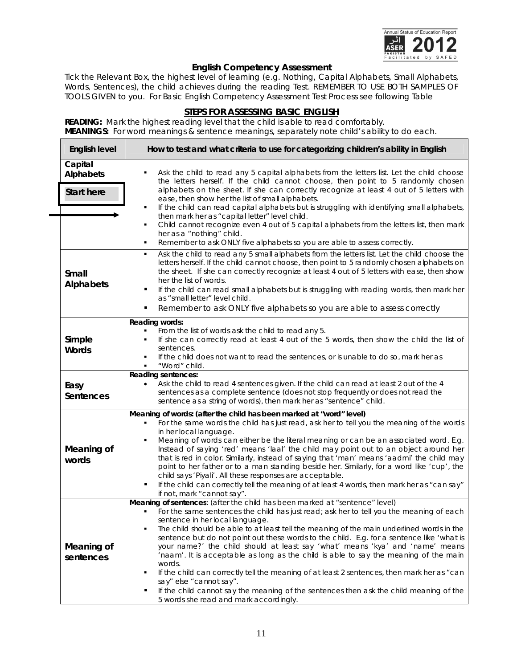

## **English Competency Assessment**

Tick the Relevant Box, the highest level of learning (e.g. Nothing, Capital Alphabets, Small Alphabets, Words, Sentences), the child achieves during the reading Test. REMEMBER TO USE BOTH SAMPLES OF TOOLS GIVEN to you. For Basic English Competency Assessment Test Process see following Table

## **STEPS FOR ASSESSING BASIC ENGLISH**

**READING:** Mark the highest reading level that the child is able to read comfortably. **MEANINGS:** For word meanings & sentence meanings, separately note child's ability to do each.

| <b>English level</b>                             | How to test and what criteria to use for categorizing children's ability in English                                                                                                                                                                                                                                                                                                                                                                                                                                                                                                                                                                                                                                                                                                                                                                           |
|--------------------------------------------------|---------------------------------------------------------------------------------------------------------------------------------------------------------------------------------------------------------------------------------------------------------------------------------------------------------------------------------------------------------------------------------------------------------------------------------------------------------------------------------------------------------------------------------------------------------------------------------------------------------------------------------------------------------------------------------------------------------------------------------------------------------------------------------------------------------------------------------------------------------------|
| Capital<br><b>Alphabets</b><br><b>Start here</b> | Ask the child to read any 5 capital alphabets from the letters list. Let the child choose<br>the letters herself. If the child cannot choose, then point to 5 randomly chosen<br>alphabets on the sheet. If she can correctly recognize at least 4 out of 5 letters with<br>ease, then show her the list of small alphabets.<br>If the child can read capital alphabets but is struggling with identifying small alphabets,<br>٠<br>then mark her as "capital letter" level child.<br>Child cannot recognize even 4 out of 5 capital alphabets from the letters list, then mark<br>٠<br>her as a "nothing" child.<br>Remember to ask ONLY five alphabets so you are able to assess correctly.<br>٠                                                                                                                                                            |
| <b>Small</b><br><b>Alphabets</b>                 | Ask the child to read any 5 small alphabets from the letters list. Let the child choose the<br>٠<br>letters herself. If the child cannot choose, then point to 5 randomly chosen alphabets on<br>the sheet. If she can correctly recognize at least 4 out of 5 letters with ease, then show<br>her the list of words.<br>If the child can read small alphabets but is struggling with reading words, then mark her<br>п<br>as "small letter" level child.<br>Remember to ask ONLY five alphabets so you are able to assess correctly<br>٠                                                                                                                                                                                                                                                                                                                     |
| Simple<br><b>Words</b>                           | <b>Reading words:</b><br>From the list of words ask the child to read any 5.<br>٠<br>If she can correctly read at least 4 out of the 5 words, then show the child the list of<br>٠<br>sentences.<br>If the child does not want to read the sentences, or is unable to do so, mark her as<br>٠<br>"Word" child.                                                                                                                                                                                                                                                                                                                                                                                                                                                                                                                                                |
| Easy<br><b>Sentences</b>                         | <b>Reading sentences:</b><br>Ask the child to read 4 sentences given. If the child can read at least 2 out of the 4<br>$\bullet$<br>sentences as a complete sentence (does not stop frequently or does not read the<br>sentence as a string of words), then mark her as "sentence" child.                                                                                                                                                                                                                                                                                                                                                                                                                                                                                                                                                                     |
| <b>Meaning of</b><br>words                       | Meaning of words: (after the child has been marked at "word" level)<br>For the same words the child has just read, ask her to tell you the meaning of the words<br>٠<br>in her local language.<br>Meaning of words can either be the literal meaning or can be an associated word. E.g.<br>٠<br>Instead of saying 'red' means 'laal' the child may point out to an object around her<br>that is red in color. Similarly, instead of saying that 'man' means 'aadmi' the child may<br>point to her father or to a man standing beside her. Similarly, for a word like 'cup', the<br>child says 'Piyali'. All these responses are acceptable.<br>If the child can correctly tell the meaning of at least 4 words, then mark her as "can say"<br>Ξ<br>if not, mark "cannot say".                                                                                 |
| <b>Meaning of</b><br>sentences                   | Meaning of sentences: (after the child has been marked at "sentence" level)<br>For the same sentences the child has just read; ask her to tell you the meaning of each<br>sentence in her local language.<br>The child should be able to at least tell the meaning of the main underlined words in the<br>sentence but do not point out these words to the child. E.g. for a sentence like 'what is<br>your name?' the child should at least say 'what' means 'kya' and 'name' means<br>'naam'. It is acceptable as long as the child is able to say the meaning of the main<br>words.<br>If the child can correctly tell the meaning of at least 2 sentences, then mark her as "can<br>п<br>say" else "cannot say".<br>If the child cannot say the meaning of the sentences then ask the child meaning of the<br>п<br>5 words she read and mark accordingly. |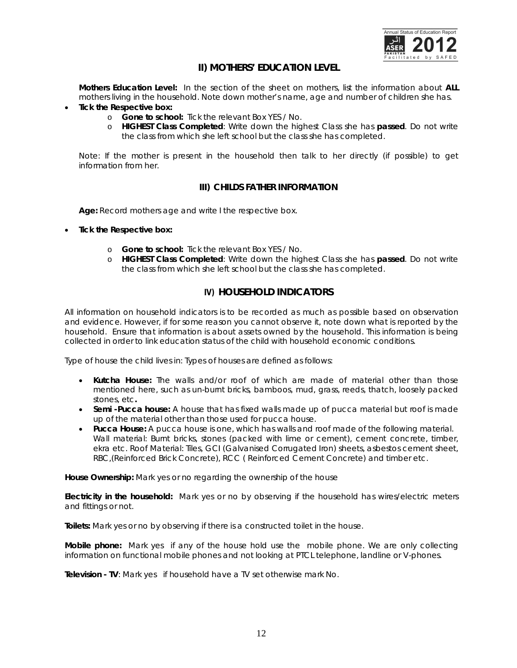

## **II) MOTHERS' EDUCATION LEVEL**

**Mothers Education Level:** In the section of the sheet on mothers, list the information about **ALL** mothers living in the household. Note down mother's name, age and number of children she has.

- **Tick the Respective box:** 
	- o **Gone to school:** Tick the relevant Box YES / No.
	- o **HIGHEST Class Completed**: Write down the highest Class she has **passed**. Do not write the class from which she left school but the class she has completed.

*Note: If the mother is present in the household then talk to her directly (if possible) to get information from her.*

## **III) CHILDS FATHER INFORMATION**

**Age:** Record mothers age and write I the respective box.

- **Tick the Respective box:**
	- o **Gone to school:** Tick the relevant Box YES / No.
	- o **HIGHEST Class Completed**: Write down the highest Class she has **passed**. Do not write the class from which she left school but the class she has completed.

## **IV) HOUSEHOLD INDICATORS**

All information on household indicators is to be recorded as much as possible based on observation and evidence. However, if for some reason you cannot observe it, note down what is reported by the household. Ensure that information is about assets owned by the household. This information is being collected in order to link education status of the child with household economic conditions.

Type of house the child lives in: Types of houses are defined as follows:

- **Kutcha House:** The walls and/or roof of which are made of material other than those mentioned here, such as un-burnt bricks, bamboos, mud, grass, reeds, thatch, loosely packed stones, etc**.**
- **Semi -Pucca house:** A house that has fixed walls made up of pucca material but roof is made up of the material other than those used for pucca house.
- **Pucca House:** A pucca house is one, which has walls and roof made of the following material. Wall material: Burnt bricks, stones (packed with lime or cement), cement concrete, timber, ekra etc. Roof Material: Tiles, GCI (Galvanised Corrugated Iron) sheets, asbestos cement sheet, RBC,(Reinforced Brick Concrete), RCC ( Reinforced Cement Concrete) and timber etc.

**House Ownership:** Mark yes or no regarding the ownership of the house

**Electricity in the household:** Mark yes or no by observing if the household has wires/electric meters and fittings or not.

**Toilets:** Mark yes or no by observing if there is a constructed toilet in the house.

**Mobile phone:** Mark yes if any of the house hold use the mobile phone. We are only *collecting information on functional mobile phones and not looking at PTCL telephone, landline or V-phones.*

**Television - TV**: Mark yes if household have a TV set otherwise mark No.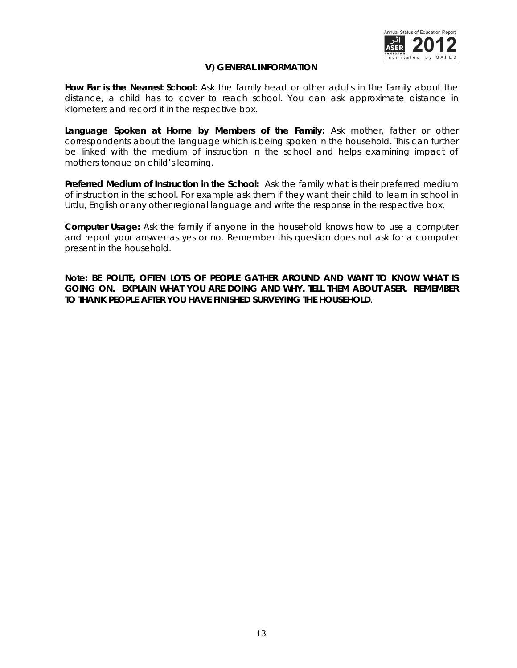

## **V) GENERAL INFORMATION**

**How Far is the Nearest School:** Ask the family head or other adults in the family about the distance, a child has to cover to reach school. You can ask approximate distance in kilometers and record it in the respective box.

**Language Spoken at Home by Members of the Family:** Ask mother, father or other correspondents about the language which is being spoken in the household. This can further be linked with the medium of instruction in the school and helps examining impact of mothers tongue on child's learning.

**Preferred Medium of Instruction in the School:** Ask the family what is their preferred medium of instruction in the school. For example ask them if they want their child to learn in school in Urdu, English or any other regional language and write the response in the respective box.

**Computer Usage:** Ask the family if anyone in the household knows how to use a computer and report your answer as yes or no. Remember this question does not ask for a computer present in the household.

**Note: BE POLITE, OFTEN LOTS OF PEOPLE GATHER AROUND AND WANT TO KNOW WHAT IS GOING ON. EXPLAIN WHAT YOU ARE DOING AND WHY. TELL THEM ABOUT ASER. REMEMBER TO THANK PEOPLE AFTER YOU HAVE FINISHED SURVEYING THE HOUSEHOLD**.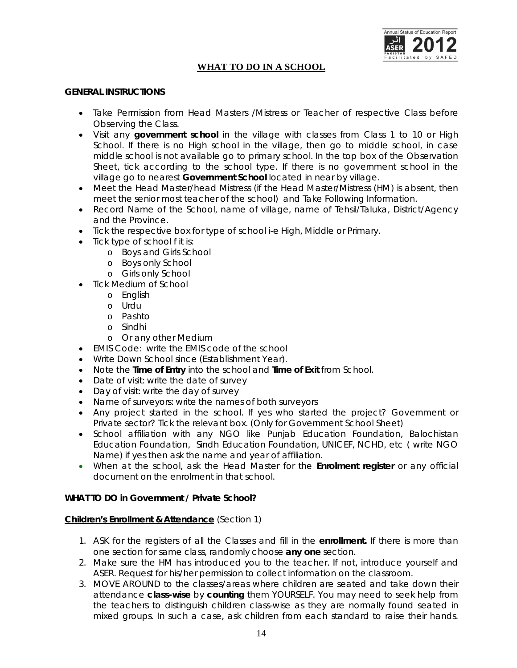

## **WHAT TO DO IN A SCHOOL**

#### **GENERAL INSTRUCTIONS**

- Take Permission from Head Masters /Mistress or Teacher of respective Class before Observing the Class.
- Visit any **government school** in the village with classes from Class 1 to 10 or High School. If there is no High school in the village, then go to middle school, in case middle school is not available go to primary school. In the top box of the Observation Sheet, tick according to the school type. If there is no government school in the village go to nearest **Government School** located in near by village.
- Meet the Head Master/head Mistress (if the Head Master/Mistress (HM) is absent, then meet the senior most teacher of the school) and Take Following Information.
- Record Name of the School, name of village, name of Tehsil/Taluka, District/Agency and the Province.
- Tick the respective box for type of school i-e High, Middle or Primary.
- Tick type of school f it is:
	- o Boys and Girls School
	- o Boys only School
	- o Girls only School
- Tick Medium of School
	- o English
	- o Urdu
	- o Pashto
	- o Sindhi
	- o Or any other Medium
- EMIS Code: write the EMIS code of the school
- Write Down School since (Establishment Year).
- Note the **Time of Entry** into the school and **Time of Exit** from School.
- Date of visit: write the date of survey
- Day of visit: write the day of survey
- Name of surveyors: write the names of both surveyors
- Any project started in the school. If yes who started the project? Government or Private sector? Tick the relevant box. *(Only for Government School Sheet)*
- School affiliation with any NGO like Punjab Education Foundation, Balochistan Education Foundation, Sindh Education Foundation, UNICEF, NCHD, etc ( write NGO Name) if yes then ask the name and year of affiliation.
- When at the school, ask the Head Master for the **Enrolment register** or any official document on the enrolment in that school.

### **WHAT TO DO in Government / Private School?**

#### **Children's Enrollment & Attendance** (Section 1)

- 1. ASK for the registers of all the Classes and fill in the **enrollment.** If there is more than one section for same class, randomly choose **any one** section.
- 2. Make sure the HM has introduced you to the teacher. If not, introduce yourself and ASER. Request for his/her permission to collect information on the classroom.
- 3. MOVE AROUND to the classes/areas where children are seated and take down their attendance **class-wise** by **counting** them YOURSELF. You may need to seek help from the teachers to distinguish children class-wise as they are normally found seated in mixed groups. In such a case, ask children from each standard to raise their hands.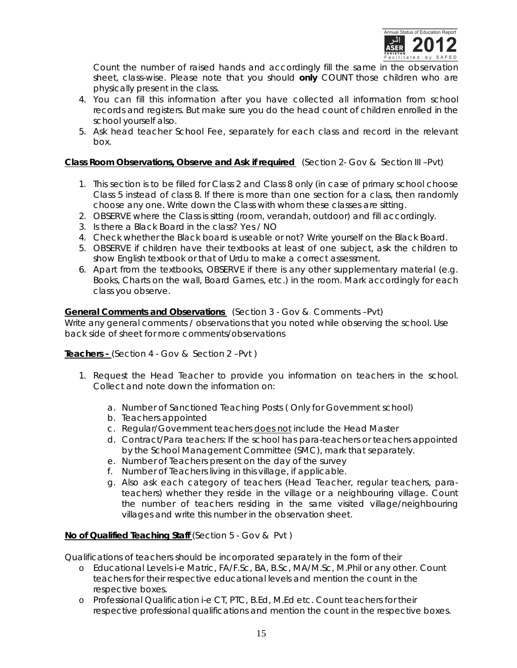

Count the number of raised hands and accordingly fill the same in the observation sheet, class-wise. Please note that you should **only** COUNT those children who are physically present in the class.

- 4. You can fill this information after you have collected all information from school records and registers. But make sure you do the head count of children enrolled in the school yourself also.
- 5. Ask head teacher School Fee, separately for each class and record in the relevant box.

## *Class Room Observations, Observe and Ask if required* (Section 2- Gov & Section III –Pvt)

- 1. This section is to be filled for Class 2 and Class 8 only (in case of primary school choose Class 5 instead of class 8. If there is more than one section for a class, then randomly choose any one. Write down the Class with whom these classes are sitting.
- 2. OBSERVE where the Class is sitting (room, verandah, outdoor) and fill accordingly.
- 3. Is there a Black Board in the class? Yes / NO
- 4. Check whether the Black board is useable or not? Write yourself on the Black Board.
- 5. OBSERVE if children have their textbooks at least of one subject, ask the children to show English textbook or that of Urdu to make a correct assessment.
- 6. Apart from the textbooks, OBSERVE if there is any other supplementary material (e.g. Books, Charts on the wall, Board Games, etc.) in the room. Mark accordingly for each class you observe.

## *General Comments and Observations* (Section 3 - Gov & Comments –Pvt)

Write any general comments / observations that you noted while observing the school. Use back side of sheet for more comments/observations

*Teachers -* (Section 4 - Gov & Section 2 –Pvt )

- 1. Request the Head Teacher to provide you information on teachers in the school. Collect and note down the information on:
	- a. Number of Sanctioned Teaching Posts *( Only for Government school)*
	- b. Teachers appointed
	- c. Regular/Government teachers does not include the Head Master
	- d. Contract/Para teachers: If the school has para-teachers or teachers appointed by the School Management Committee (SMC), mark that separately.
	- e. Number of Teachers present on the day of the survey
	- f. Number of Teachers living in this village, if applicable.
	- g. Also ask each category of teachers (Head Teacher, regular teachers, parateachers) whether they reside in the village or a neighbouring village. Count the number of teachers residing in the same visited village/neighbouring villages and write this number in the observation sheet.

#### *No of Qualified Teaching Staff* (Section 5 - Gov & Pvt )

Qualifications of teachers should be incorporated separately in the form of their

- o Educational Levels i-e Matric, FA/F.Sc, BA, B.Sc, MA/M.Sc, M.Phil or any other. Count teachers for their respective educational levels and mention the count in the respective boxes.
- o Professional Qualification i-e CT, PTC, B.Ed, M.Ed etc. Count teachers for their respective professional qualifications and mention the count in the respective boxes.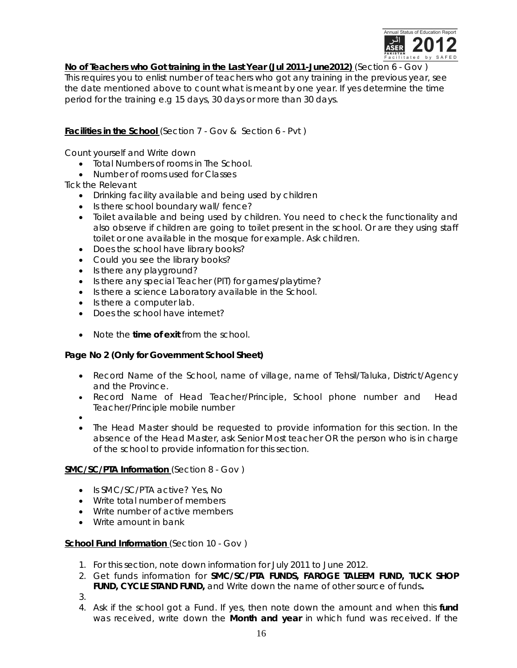

*No of Teachers who Got training in the Last Year (Jul 2011-June2012)* (Section 6 - Gov )

This requires you to enlist number of teachers who got any training in the previous year, see the date mentioned above to count what is meant by one year. If yes determine the time period for the training e.g 15 days, 30 days or more than 30 days.

*Facilities in the School* (Section 7 - Gov & Section 6 - Pvt )

Count yourself and Write down

- Total Numbers of rooms in The School.
- Number of rooms used for Classes

Tick the Relevant

- Drinking facility available and being used by children
- Is there school boundary wall/ fence?
- Toilet available and being used by children. You need to check the functionality and also observe if children are going to toilet present in the school. Or are they using staff toilet or one available in the mosque for example. Ask children.
- Does the school have library books?
- Could you see the library books?
- Is there any playground?
- Is there any special Teacher (PIT) for games/playtime?
- Is there a science Laboratory available in the School.
- Is there a computer lab.
- Does the school have internet?
- Note the **time of exit** from the school.

## **Page No 2 (Only for Government School Sheet)**

- Record Name of the School, name of village, name of Tehsil/Taluka, District/Agency and the Province.
- Record Name of Head Teacher/Principle, School phone number and Head Teacher/Principle mobile number
- $\bullet$
- The Head Master should be requested to provide information for this section. In the absence of the Head Master, ask Senior Most teacher OR the person who is in charge of the school to provide information for this section.

## *SMC/SC/PTA Information* (Section 8 - Gov )

- Is SMC/SC/PTA active? Yes, No
- Write total number of members
- Write number of active members
- Write amount in bank

## *School Fund Information* (Section 10 - Gov )

- 1. For this section, note down information for July 2011 to June 2012.
- 2. Get funds information for **SMC/SC/PTA FUNDS, FAROGE TALEEM FUND, TUCK SHOP FUND, CYCLE STAND FUND,** and Write down the name of other source of funds**.**
- 3.
- 4. Ask if the school got a Fund. If yes, then note down the amount and when this **fund** was received, write down the **Month and year** in which fund was received. If the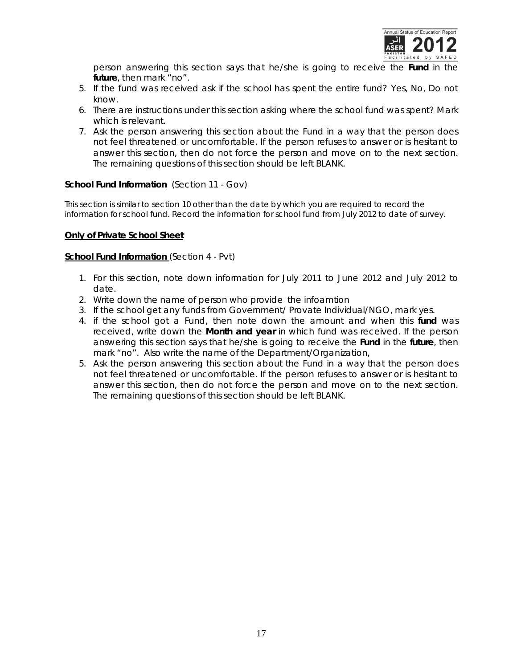

person answering this section says that he/she is going to receive the **Fund** in the **future**, then mark "no".

- 5. If the fund was received ask if the school has spent the entire fund? Yes, No, Do not know.
- 6. There are instructions under this section asking where the school fund was spent? Mark which is relevant.
- 7. Ask the person answering this section about the Fund in a way that the person does not feel threatened or uncomfortable. If the person refuses to answer or is hesitant to answer this section, then do not force the person and move on to the next section. The remaining questions of this section should be left BLANK.

#### *School Fund Information* (Section 11 - Gov)

This section is similar to section 10 other than the date by which you are required to record the information for school fund. Record the information for school fund from July 2012 to date of survey.

#### *Only of Private School Sheet*

#### **School Fund Information** (Section 4 - Pvt)

- 1. For this section, note down information for July 2011 to June 2012 and July 2012 to date.
- 2. Write down the name of person who provide the infoamtion
- 3. If the school get any funds from Government/ Provate Individual/NGO, mark yes.
- 4. if the school got a Fund, then note down the amount and when this **fund** was received, write down the **Month and year** in which fund was received. If the person answering this section says that he/she is going to receive the **Fund** in the **future**, then mark "no". Also write the name of the Department/Organization,
- 5. Ask the person answering this section about the Fund in a way that the person does not feel threatened or uncomfortable. If the person refuses to answer or is hesitant to answer this section, then do not force the person and move on to the next section. The remaining questions of this section should be left BLANK.